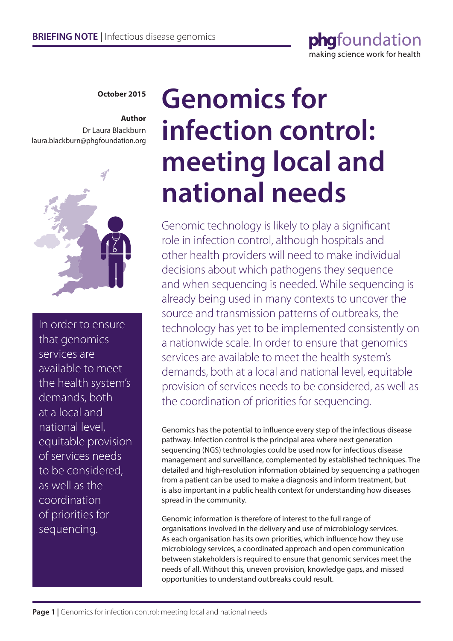

**October 2015**

### **Author** Dr Laura Blackburn

laura.blackburn@phgfoundation.org



In order to ensure that genomics services are available to meet the health system's demands, both at a local and national level, equitable provision of services needs to be considered, as well as the coordination of priorities for sequencing.

# **Genomics for infection control: meeting local and national needs**

Genomic technology is likely to play a significant role in infection control, although hospitals and other health providers will need to make individual decisions about which pathogens they sequence and when sequencing is needed. While sequencing is already being used in many contexts to uncover the source and transmission patterns of outbreaks, the technology has yet to be implemented consistently on a nationwide scale. In order to ensure that genomics services are available to meet the health system's demands, both at a local and national level, equitable provision of services needs to be considered, as well as the coordination of priorities for sequencing.

Genomics has the potential to influence every step of the infectious disease pathway. Infection control is the principal area where next generation sequencing (NGS) technologies could be used now for infectious disease management and surveillance, complemented by established techniques. The detailed and high-resolution information obtained by sequencing a pathogen from a patient can be used to make a diagnosis and inform treatment, but is also important in a public health context for understanding how diseases spread in the community.

Genomic information is therefore of interest to the full range of organisations involved in the delivery and use of microbiology services. As each organisation has its own priorities, which influence how they use microbiology services, a coordinated approach and open communication between stakeholders is required to ensure that genomic services meet the needs of all. Without this, uneven provision, knowledge gaps, and missed opportunities to understand outbreaks could result.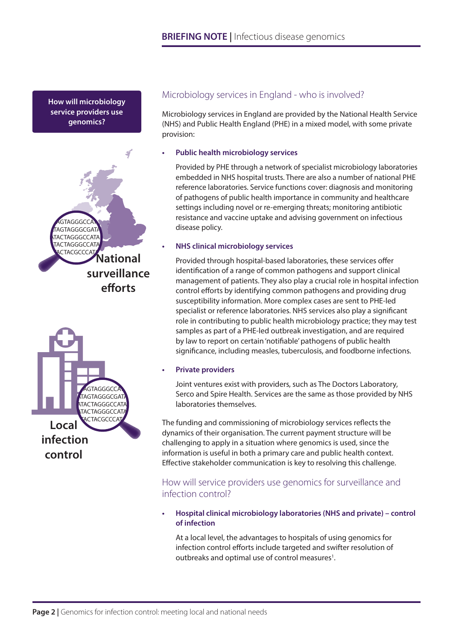**How will microbiology service providers use genomics?**





# Microbiology services in England - who is involved?

Microbiology services in England are provided by the National Health Service (NHS) and Public Health England (PHE) in a mixed model, with some private provision:

#### **• Public health microbiology services**

Provided by PHE through a network of specialist microbiology laboratories embedded in NHS hospital trusts. There are also a number of national PHE reference laboratories. Service functions cover: diagnosis and monitoring of pathogens of public health importance in community and healthcare settings including novel or re-emerging threats; monitoring antibiotic resistance and vaccine uptake and advising government on infectious disease policy.

#### **• NHS clinical microbiology services**

Provided through hospital-based laboratories, these services offer identification of a range of common pathogens and support clinical management of patients. They also play a crucial role in hospital infection control efforts by identifying common pathogens and providing drug susceptibility information. More complex cases are sent to PHE-led specialist or reference laboratories. NHS services also play a significant role in contributing to public health microbiology practice; they may test samples as part of a PHE-led outbreak investigation, and are required by law to report on certain 'notifiable' pathogens of public health significance, including measles, tuberculosis, and foodborne infections.

#### **• Private providers**

Joint ventures exist with providers, such as The Doctors Laboratory, Serco and Spire Health. Services are the same as those provided by NHS laboratories themselves.

The funding and commissioning of microbiology services reflects the dynamics of their organisation. The current payment structure will be challenging to apply in a situation where genomics is used, since the information is useful in both a primary care and public health context. Effective stakeholder communication is key to resolving this challenge.

# How will service providers use genomics for surveillance and infection control?

**• Hospital clinical microbiology laboratories (NHS and private) – control of infection**

At a local level, the advantages to hospitals of using genomics for infection control efforts include targeted and swifter resolution of outbreaks and optimal use of control measures<sup>1</sup>.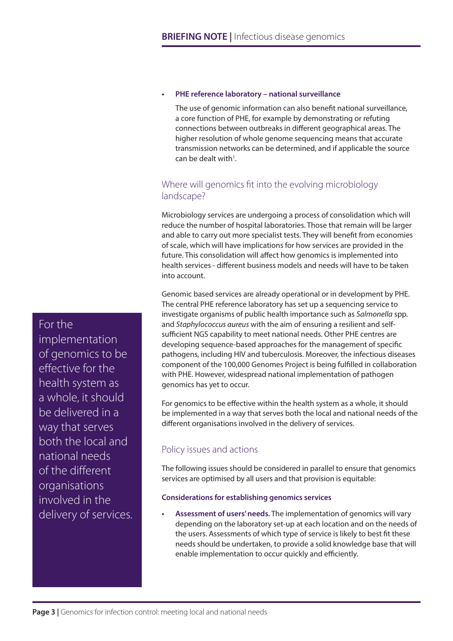#### **• PHE reference laboratory – national surveillance**

The use of genomic information can also benefit national surveillance, a core function of PHE, for example by demonstrating or refuting connections between outbreaks in different geographical areas. The higher resolution of whole genome sequencing means that accurate transmission networks can be determined, and if applicable the source can be dealt with $1$ .

## Where will genomics fit into the evolving microbiology landscape?

Microbiology services are undergoing a process of consolidation which will reduce the number of hospital laboratories. Those that remain will be larger and able to carry out more specialist tests. They will benefit from economies of scale, which will have implications for how services are provided in the future. This consolidation will affect how genomics is implemented into health services - different business models and needs will have to be taken into account.

Genomic based services are already operational or in development by PHE. The central PHE reference laboratory has set up a sequencing service to investigate organisms of public health importance such as *Salmonella* spp. and *Staphylococcus aureus* with the aim of ensuring a resilient and selfsufficient NGS capability to meet national needs. Other PHE centres are developing sequence-based approaches for the management of specific pathogens, including HIV and tuberculosis. Moreover, the infectious diseases component of the 100,000 Genomes Project is being fulfilled in collaboration with PHE. However, widespread national implementation of pathogen genomics has yet to occur.

For genomics to be effective within the health system as a whole, it should be implemented in a way that serves both the local and national needs of the different organisations involved in the delivery of services.

# Policy issues and actions

The following issues should be considered in parallel to ensure that genomics services are optimised by all users and that provision is equitable:

#### **Considerations for establishing genomics services**

**• Assessment of users' needs.** The implementation of genomics will vary depending on the laboratory set-up at each location and on the needs of the users. Assessments of which type of service is likely to best fit these needs should be undertaken, to provide a solid knowledge base that will enable implementation to occur quickly and efficiently.

For the implementation of genomics to be effective for the health system as a whole, it should be delivered in a way that serves both the local and national needs of the different organisations involved in the delivery of services.